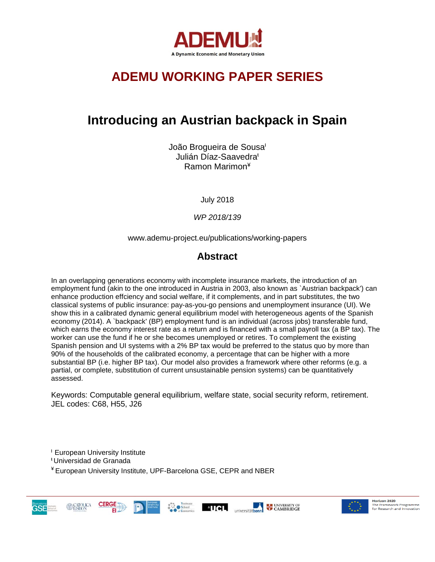

# **ADEMU WORKING PAPER SERIES**

# **Introducing an Austrian backpack in Spain**

João Brogueira de Sousa<sup>®</sup> Julián Díaz-Saavedra<sup>ŧ</sup> Ramon Marimon¥

July 2018

*WP 2018/139*

www.ademu-project.eu/publications/working-papers

# **Abstract**

In an overlapping generations economy with incomplete insurance markets, the introduction of an employment fund (akin to the one introduced in Austria in 2003, also known as `Austrian backpack') can enhance production effciency and social welfare, if it complements, and in part substitutes, the two classical systems of public insurance: pay-as-you-go pensions and unemployment insurance (UI). We show this in a calibrated dynamic general equilibrium model with heterogeneous agents of the Spanish economy (2014). A `backpack' (BP) employment fund is an individual (across jobs) transferable fund, which earns the economy interest rate as a return and is financed with a small payroll tax (a BP tax). The worker can use the fund if he or she becomes unemployed or retires. To complement the existing Spanish pension and UI systems with a 2% BP tax would be preferred to the status quo by more than 90% of the households of the calibrated economy, a percentage that can be higher with a more substantial BP (i.e. higher BP tax). Our model also provides a framework where other reforms (e.g. a partial, or complete, substitution of current unsustainable pension systems) can be quantitatively assessed.

Keywords: Computable general equilibrium, welfare state, social security reform, retirement. JEL codes: C68, H55, J26

<sup>ƚ</sup> European University Institute

<sup>ŧ</sup>Universidad de Granada

¥ European University Institute, UPF-Barcelona GSE, CEPR and NBER



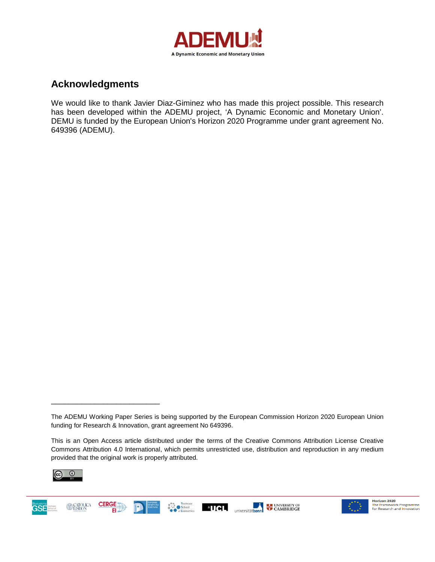

# **Acknowledgments**

We would like to thank Javier Diaz-Giminez who has made this project possible. This research has been developed within the ADEMU project, 'A Dynamic Economic and Monetary Union'. DEMU is funded by the European Union's Horizon 2020 Programme under grant agreement No. 649396 (ADEMU).

This is an Open Access article distributed under the terms of the Creative Commons Attribution License Creative Commons Attribution 4.0 International, which permits unrestricted use, distribution and reproduction in any medium provided that the original work is properly attributed.



\_\_\_\_\_\_\_\_\_\_\_\_\_\_\_\_\_\_\_\_\_\_\_\_\_





The ADEMU Working Paper Series is being supported by the European Commission Horizon 2020 European Union funding for Research & Innovation, grant agreement No 649396.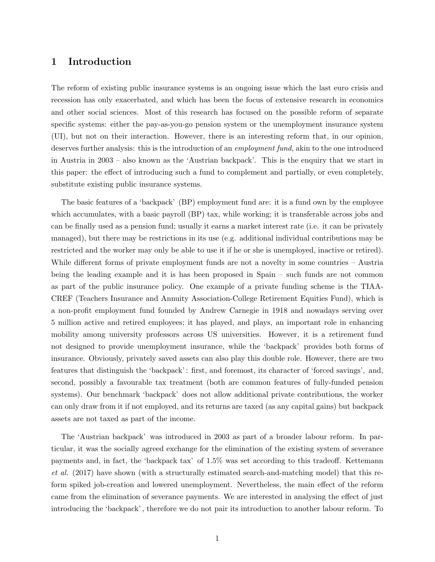# 1 Introduction

The reform of existing public insurance systems is an ongoing issue which the last euro crisis and recession has only exacerbated, and which has been the focus of extensive research in economics and other social sciences. Most of this research has focused on the possible reform of separate specific systems: either the pay-as-you-go pension system or the unemployment insurance system (UI), but not on their interaction. However, there is an interesting reform that, in our opinion, deserves further analysis: this is the introduction of an *employment fund*, akin to the one introduced in Austria in 2003 – also known as the 'Austrian backpack'. This is the enquiry that we start in this paper: the effect of introducing such a fund to complement and partially, or even completely, substitute existing public insurance systems.

The basic features of a 'backpack' (BP) employment fund are: it is a fund own by the employee which accumulates, with a basic payroll (BP) tax, while working; it is transferable across jobs and can be finally used as a pension fund; usually it earns a market interest rate (i.e. it can be privately managed), but there may be restrictions in its use (e.g. additional individual contributions may be restricted and the worker may only be able to use it if he or she is unemployed, inactive or retired). While different forms of private employment funds are not a novelty in some countries – Austria being the leading example and it is has been proposed in Spain – such funds are not common as part of the public insurance policy. One example of a private funding scheme is the TIAA-CREF (Teachers Insurance and Annuity Association-College Retirement Equities Fund), which is a non-profit employment fund founded by Andrew Carnegie in 1918 and nowadays serving over 5 million active and retired employees; it has played, and plays, an important role in enhancing mobility among university professors across US universities. However, it is a retirement fund not designed to provide unemployment insurance, while the 'backpack' provides both forms of insurance. Obviously, privately saved assets can also play this double role. However, there are two features that distinguish the 'backpack' : first, and foremost, its character of 'forced savings', and, second, possibly a favourable tax treatment (both are common features of fully-funded pension systems). Our benchmark 'backpack' does not allow additional private contributions, the worker can only draw from it if not employed, and its returns are taxed (as any capital gains) but backpack assets are not taxed as part of the income.

The 'Austrian backpack' was introduced in 2003 as part of a broader labour reform. In particular, it was the socially agreed exchange for the elimination of the existing system of severance payments and, in fact, the 'backpack tax' of 1.5% was set according to this tradeoff. Kettemann et al. (2017) have shown (with a structurally estimated search-and-matching model) that this reform spiked job-creation and lowered unemployment. Nevertheless, the main effect of the reform came from the elimination of severance payments. We are interested in analysing the effect of just introducing the 'backpack' , therefore we do not pair its introduction to another labour reform. To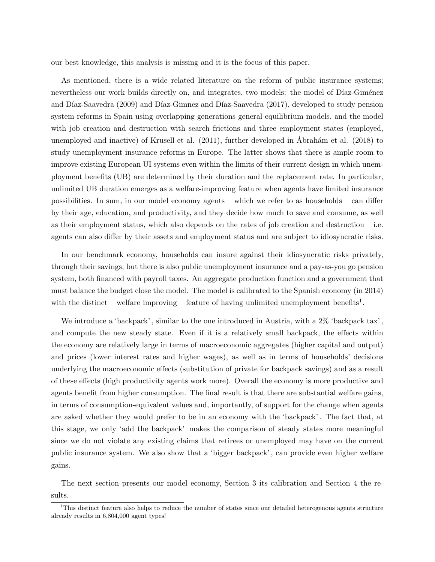our best knowledge, this analysis is missing and it is the focus of this paper.

As mentioned, there is a wide related literature on the reform of public insurance systems; nevertheless our work builds directly on, and integrates, two models: the model of Díaz-Giménez and Díaz-Saavedra (2009) and Díaz-Gimnez and Díaz-Saavedra (2017), developed to study pension system reforms in Spain using overlapping generations general equilibrium models, and the model with job creation and destruction with search frictions and three employment states (employed, unemployed and inactive) of Krusell et al.  $(2011)$ , further developed in Abrahám et al.  $(2018)$  to study unemployment insurance reforms in Europe. The latter shows that there is ample room to improve existing European UI systems even within the limits of their current design in which unemployment benefits (UB) are determined by their duration and the replacement rate. In particular, unlimited UB duration emerges as a welfare-improving feature when agents have limited insurance possibilities. In sum, in our model economy agents – which we refer to as households – can differ by their age, education, and productivity, and they decide how much to save and consume, as well as their employment status, which also depends on the rates of job creation and destruction  $-$  i.e. agents can also differ by their assets and employment status and are subject to idiosyncratic risks.

In our benchmark economy, households can insure against their idiosyncratic risks privately, through their savings, but there is also public unemployment insurance and a pay-as-you go pension system, both financed with payroll taxes. An aggregate production function and a government that must balance the budget close the model. The model is calibrated to the Spanish economy (in 2014) with the distinct – welfare improving – feature of having unlimited unemployment benefits<sup>[1](#page-3-0)</sup>.

We introduce a 'backpack', similar to the one introduced in Austria, with a  $2\%$  'backpack tax', and compute the new steady state. Even if it is a relatively small backpack, the effects within the economy are relatively large in terms of macroeconomic aggregates (higher capital and output) and prices (lower interest rates and higher wages), as well as in terms of households' decisions underlying the macroeconomic effects (substitution of private for backpack savings) and as a result of these effects (high productivity agents work more). Overall the economy is more productive and agents benefit from higher consumption. The final result is that there are substantial welfare gains, in terms of consumption-equivalent values and, importantly, of support for the change when agents are asked whether they would prefer to be in an economy with the 'backpack' . The fact that, at this stage, we only 'add the backpack' makes the comparison of steady states more meaningful since we do not violate any existing claims that retirees or unemployed may have on the current public insurance system. We also show that a 'bigger backpack' , can provide even higher welfare gains.

The next section presents our model economy, Section 3 its calibration and Section 4 the results.

<span id="page-3-0"></span><sup>&</sup>lt;sup>1</sup>This distinct feature also helps to reduce the number of states since our detailed heterogenous agents structure already results in 6,804,000 agent types!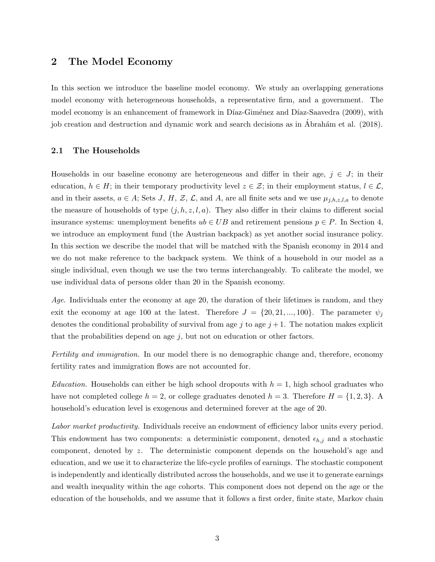# 2 The Model Economy

In this section we introduce the baseline model economy. We study an overlapping generations model economy with heterogeneous households, a representative firm, and a government. The model economy is an enhancement of framework in Díaz-Giménez and Díaz-Saavedra (2009), with job creation and destruction and dynamic work and search decisions as in Abrahám et al. (2018).

## 2.1 The Households

Households in our baseline economy are heterogeneous and differ in their age,  $j \in J$ ; in their education,  $h \in H$ ; in their temporary productivity level  $z \in \mathcal{Z}$ ; in their employment status,  $l \in \mathcal{L}$ , and in their assets,  $a \in A$ ; Sets J, H, Z, L, and A, are all finite sets and we use  $\mu_{j,h,z,l,a}$  to denote the measure of households of type  $(j, h, z, l, a)$ . They also differ in their claims to different social insurance systems: unemployment benefits  $ub \in UB$  and retirement pensions  $p \in P$ . In Section [4,](#page-19-0) we introduce an employment fund (the Austrian backpack) as yet another social insurance policy. In this section we describe the model that will be matched with the Spanish economy in 2014 and we do not make reference to the backpack system. We think of a household in our model as a single individual, even though we use the two terms interchangeably. To calibrate the model, we use individual data of persons older than 20 in the Spanish economy.

Age. Individuals enter the economy at age 20, the duration of their lifetimes is random, and they exit the economy at age 100 at the latest. Therefore  $J = \{20, 21, ..., 100\}$ . The parameter  $\psi_j$ denotes the conditional probability of survival from age  $j$  to age  $j + 1$ . The notation makes explicit that the probabilities depend on age  $j$ , but not on education or other factors.

Fertility and immigration. In our model there is no demographic change and, therefore, economy fertility rates and immigration flows are not accounted for.

*Education.* Households can either be high school dropouts with  $h = 1$ , high school graduates who have not completed college  $h = 2$ , or college graduates denoted  $h = 3$ . Therefore  $H = \{1, 2, 3\}$ . A household's education level is exogenous and determined forever at the age of 20.

Labor market productivity. Individuals receive an endowment of efficiency labor units every period. This endowment has two components: a deterministic component, denoted  $\epsilon_{h,j}$  and a stochastic component, denoted by z. The deterministic component depends on the household's age and education, and we use it to characterize the life-cycle profiles of earnings. The stochastic component is independently and identically distributed across the households, and we use it to generate earnings and wealth inequality within the age cohorts. This component does not depend on the age or the education of the households, and we assume that it follows a first order, finite state, Markov chain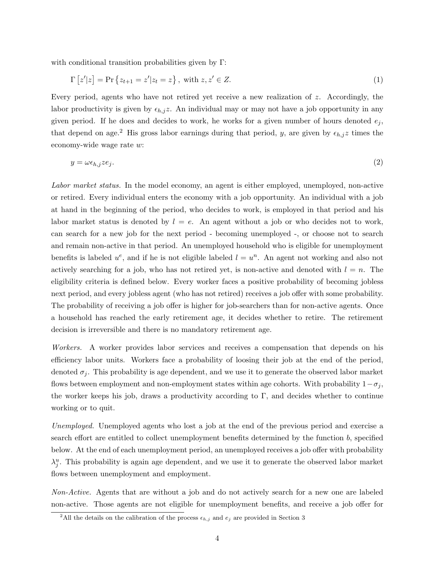with conditional transition probabilities given by Γ:

<span id="page-5-1"></span>
$$
\Gamma\left[z'|z\right] = \Pr\left\{z_{t+1} = z'|z_t = z\right\},\ \text{with}\ z, z' \in Z. \tag{1}
$$

Every period, agents who have not retired yet receive a new realization of z. Accordingly, the labor productivity is given by  $\epsilon_{h,j}z$ . An individual may or may not have a job opportunity in any given period. If he does and decides to work, he works for a given number of hours denoted  $e_j$ , that depend on age.<sup>[2](#page-5-0)</sup> His gross labor earnings during that period, y, are given by  $\epsilon_{h,j}z$  times the economy-wide wage rate w:

$$
y = \omega \epsilon_{h,j} z e_j. \tag{2}
$$

Labor market status. In the model economy, an agent is either employed, unemployed, non-active or retired. Every individual enters the economy with a job opportunity. An individual with a job at hand in the beginning of the period, who decides to work, is employed in that period and his labor market status is denoted by  $l = e$ . An agent without a job or who decides not to work, can search for a new job for the next period - becoming unemployed -, or choose not to search and remain non-active in that period. An unemployed household who is eligible for unemployment benefits is labeled  $u^e$ , and if he is not eligible labeled  $l = u^n$ . An agent not working and also not actively searching for a job, who has not retired yet, is non-active and denoted with  $l = n$ . The eligibility criteria is defined below. Every worker faces a positive probability of becoming jobless next period, and every jobless agent (who has not retired) receives a job offer with some probability. The probability of receiving a job offer is higher for job-searchers than for non-active agents. Once a household has reached the early retirement age, it decides whether to retire. The retirement decision is irreversible and there is no mandatory retirement age.

Workers. A worker provides labor services and receives a compensation that depends on his efficiency labor units. Workers face a probability of loosing their job at the end of the period, denoted  $\sigma_j$ . This probability is age dependent, and we use it to generate the observed labor market flows between employment and non-employment states within age cohorts. With probability  $1-\sigma_j$ , the worker keeps his job, draws a productivity according to  $\Gamma$ , and decides whether to continue working or to quit.

Unemployed. Unemployed agents who lost a job at the end of the previous period and exercise a search effort are entitled to collect unemployment benefits determined by the function b, specified below. At the end of each unemployment period, an unemployed receives a job offer with probability  $\lambda_j^u$ . This probability is again age dependent, and we use it to generate the observed labor market flows between unemployment and employment.

Non-Active. Agents that are without a job and do not actively search for a new one are labeled non-active. Those agents are not eligible for unemployment benefits, and receive a job offer for

<span id="page-5-0"></span><sup>&</sup>lt;sup>2</sup>All the details on the calibration of the process  $\epsilon_{h,j}$  and  $e_j$  are provided in Section [3](#page-13-0)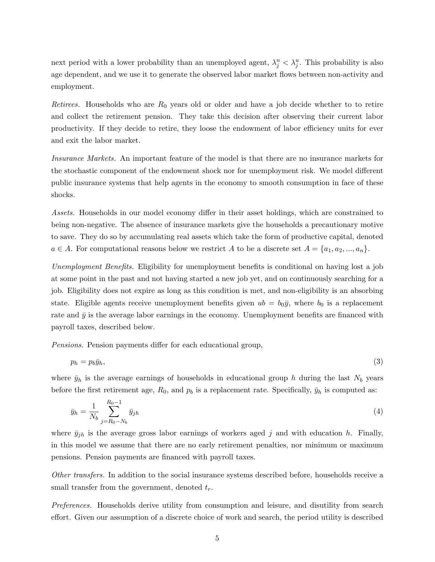next period with a lower probability than an unemployed agent,  $\lambda_j^n < \lambda_j^n$ . This probability is also age dependent, and we use it to generate the observed labor market flows between non-activity and employment.

Retirees. Households who are  $R_0$  years old or older and have a job decide whether to to retire and collect the retirement pension. They take this decision after observing their current labor productivity. If they decide to retire, they loose the endowment of labor efficiency units for ever and exit the labor market.

Insurance Markets. An important feature of the model is that there are no insurance markets for the stochastic component of the endowment shock nor for unemployment risk. We model different public insurance systems that help agents in the economy to smooth consumption in face of these shocks.

Assets. Households in our model economy differ in their asset holdings, which are constrained to being non-negative. The absence of insurance markets give the households a precautionary motive to save. They do so by accumulating real assets which take the form of productive capital, denoted  $a \in A$ . For computational reasons below we restrict A to be a discrete set  $A = \{a_1, a_2, ..., a_n\}$ .

Unemployment Benefits. Eligibility for unemployment benefits is conditional on having lost a job at some point in the past and not having started a new job yet, and on continuously searching for a job. Eligibility does not expire as long as this condition is met, and non-eligibility is an absorbing state. Eligible agents receive unemployment benefits given  $ub = b_0\bar{y}$ , where  $b_0$  is a replacement rate and  $\bar{y}$  is the average labor earnings in the economy. Unemployment benefits are financed with payroll taxes, described below.

Pensions. Pension payments differ for each educational group,

$$
p_h = p_b \bar{y}_h,\tag{3}
$$

where  $\bar{y}_h$  is the average earnings of households in educational group h during the last  $N_b$  years before the first retirement age,  $R_0$ , and  $p_b$  is a replacement rate. Specifically,  $\bar{y}_h$  is computed as:

$$
\bar{y}_h = \frac{1}{N_b} \sum_{j=R_0 - N_b}^{R_0 - 1} \bar{y}_{jh} \tag{4}
$$

where  $\bar{y}_{ih}$  is the average gross labor earnings of workers aged j and with education h. Finally, in this model we assume that there are no early retirement penalties, nor minimum or maximum pensions. Pension payments are financed with payroll taxes.

Other transfers. In addition to the social insurance systems described before, households receive a small transfer from the government, denoted  $t_r$ .

Preferences. Households derive utility from consumption and leisure, and disutility from search effort. Given our assumption of a discrete choice of work and search, the period utility is described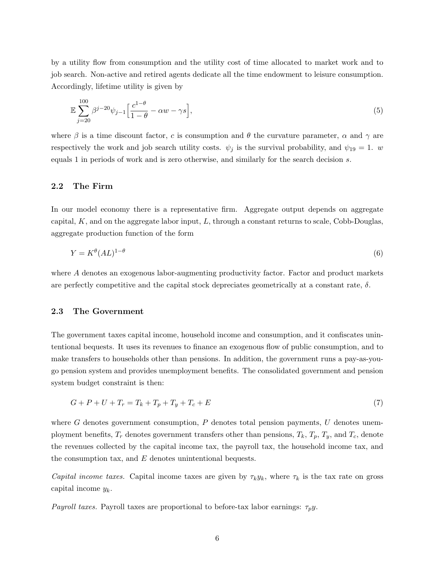by a utility flow from consumption and the utility cost of time allocated to market work and to job search. Non-active and retired agents dedicate all the time endowment to leisure consumption. Accordingly, lifetime utility is given by

$$
\mathbb{E}\sum_{j=20}^{100}\beta^{j-20}\psi_{j-1}\Big[\frac{c^{1-\theta}}{1-\theta}-\alpha w-\gamma s\Big],\tag{5}
$$

where  $\beta$  is a time discount factor, c is consumption and  $\theta$  the curvature parameter,  $\alpha$  and  $\gamma$  are respectively the work and job search utility costs.  $\psi_i$  is the survival probability, and  $\psi_{19} = 1$ . w equals 1 in periods of work and is zero otherwise, and similarly for the search decision s.

#### 2.2 The Firm

In our model economy there is a representative firm. Aggregate output depends on aggregate capital,  $K$ , and on the aggregate labor input,  $L$ , through a constant returns to scale, Cobb-Douglas, aggregate production function of the form

$$
Y = K^{\theta} (AL)^{1-\theta} \tag{6}
$$

where A denotes an exogenous labor-augmenting productivity factor. Factor and product markets are perfectly competitive and the capital stock depreciates geometrically at a constant rate,  $\delta$ .

# 2.3 The Government

The government taxes capital income, household income and consumption, and it confiscates unintentional bequests. It uses its revenues to finance an exogenous flow of public consumption, and to make transfers to households other than pensions. In addition, the government runs a pay-as-yougo pension system and provides unemployment benefits. The consolidated government and pension system budget constraint is then:

<span id="page-7-0"></span>
$$
G + P + U + T_r = T_k + T_p + T_y + T_c + E \tag{7}
$$

where G denotes government consumption,  $P$  denotes total pension payments,  $U$  denotes unemployment benefits,  $T_r$  denotes government transfers other than pensions,  $T_k$ ,  $T_p$ ,  $T_y$ , and  $T_c$ , denote the revenues collected by the capital income tax, the payroll tax, the household income tax, and the consumption tax, and  $E$  denotes unintentional bequests.

Capital income taxes. Capital income taxes are given by  $\tau_k y_k$ , where  $\tau_k$  is the tax rate on gross capital income  $y_k$ .

*Payroll taxes.* Payroll taxes are proportional to before-tax labor earnings:  $\tau_p y$ .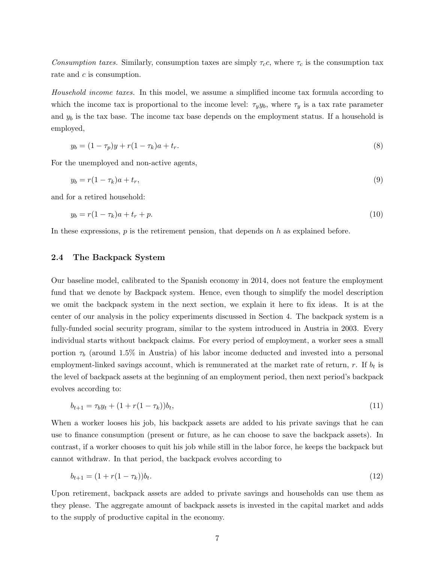Consumption taxes. Similarly, consumption taxes are simply  $\tau_c$ , where  $\tau_c$  is the consumption tax rate and c is consumption.

Household income taxes. In this model, we assume a simplified income tax formula according to which the income tax is proportional to the income level:  $\tau_y y_b$ , where  $\tau_y$  is a tax rate parameter and  $y_b$  is the tax base. The income tax base depends on the employment status. If a household is employed,

$$
y_b = (1 - \tau_p)y + r(1 - \tau_k)a + t_r.
$$
\n(8)

For the unemployed and non-active agents,

$$
y_b = r(1 - \tau_k)a + t_r,\tag{9}
$$

and for a retired household:

$$
y_b = r(1 - \tau_k)a + t_r + p. \tag{10}
$$

In these expressions,  $p$  is the retirement pension, that depends on  $h$  as explained before.

# <span id="page-8-0"></span>2.4 The Backpack System

Our baseline model, calibrated to the Spanish economy in 2014, does not feature the employment fund that we denote by Backpack system. Hence, even though to simplify the model description we omit the backpack system in the next section, we explain it here to fix ideas. It is at the center of our analysis in the policy experiments discussed in Section [4.](#page-19-0) The backpack system is a fully-funded social security program, similar to the system introduced in Austria in 2003. Every individual starts without backpack claims. For every period of employment, a worker sees a small portion  $\tau_b$  (around 1.5% in Austria) of his labor income deducted and invested into a personal employment-linked savings account, which is remunerated at the market rate of return,  $r$ . If  $b_t$  is the level of backpack assets at the beginning of an employment period, then next period's backpack evolves according to:

$$
b_{t+1} = \tau_b y_t + (1 + r(1 - \tau_k))b_t,\tag{11}
$$

When a worker looses his job, his backpack assets are added to his private savings that he can use to finance consumption (present or future, as he can choose to save the backpack assets). In contrast, if a worker chooses to quit his job while still in the labor force, he keeps the backpack but cannot withdraw. In that period, the backpack evolves according to

$$
b_{t+1} = (1 + r(1 - \tau_k))b_t.
$$
\n<sup>(12)</sup>

Upon retirement, backpack assets are added to private savings and households can use them as they please. The aggregate amount of backpack assets is invested in the capital market and adds to the supply of productive capital in the economy.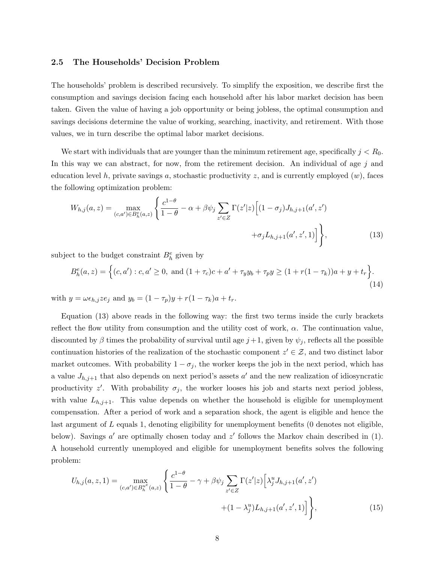### <span id="page-9-1"></span>2.5 The Households' Decision Problem

The households' problem is described recursively. To simplify the exposition, we describe first the consumption and savings decision facing each household after his labor market decision has been taken. Given the value of having a job opportunity or being jobless, the optimal consumption and savings decisions determine the value of working, searching, inactivity, and retirement. With those values, we in turn describe the optimal labor market decisions.

We start with individuals that are younger than the minimum retirement age, specifically  $j < R_0$ . In this way we can abstract, for now, from the retirement decision. An individual of age  $j$  and education level h, private savings a, stochastic productivity z, and is currently employed  $(w)$ , faces the following optimization problem:

<span id="page-9-0"></span>
$$
W_{h,j}(a,z) = \max_{(c,a') \in B_h^e(a,z)} \left\{ \frac{c^{1-\theta}}{1-\theta} - \alpha + \beta \psi_j \sum_{z' \in Z} \Gamma(z'|z) \Big[ (1-\sigma_j) J_{h,j+1}(a',z') \right. \\ \left. + \sigma_j L_{h,j+1}(a',z',1) \Big] \right\},\tag{13}
$$

subject to the budget constraint  $B_h^e$  given by

$$
B_h^e(a, z) = \left\{ (c, a') : c, a' \ge 0, \text{ and } (1 + \tau_c)c + a' + \tau_y y_b + \tau_p y \ge (1 + r(1 - \tau_k))a + y + t_r \right\}.
$$
\n(14)

with  $y = \omega \epsilon_{h,j} z e_j$  and  $y_b = (1 - \tau_p)y + r(1 - \tau_k)a + t_r$ .

Equation [\(13\)](#page-9-0) above reads in the following way: the first two terms inside the curly brackets reflect the flow utility from consumption and the utility cost of work,  $\alpha$ . The continuation value, discounted by  $\beta$  times the probability of survival until age  $j+1$ , given by  $\psi_j$ , reflects all the possible continuation histories of the realization of the stochastic component  $z' \in \mathcal{Z}$ , and two distinct labor market outcomes. With probability  $1 - \sigma_j$ , the worker keeps the job in the next period, which has a value  $J_{h,j+1}$  that also depends on next period's assets  $a'$  and the new realization of idiosyncratic productivity  $z'$ . With probability  $\sigma_j$ , the worker looses his job and starts next period jobless, with value  $L_{h,j+1}$ . This value depends on whether the household is eligible for unemployment compensation. After a period of work and a separation shock, the agent is eligible and hence the last argument of L equals 1, denoting eligibility for unemployment benefits (0 denotes not eligible, below). Savings  $a'$  are optimally chosen today and  $z'$  follows the Markov chain described in [\(1\)](#page-5-1). A household currently unemployed and eligible for unemployment benefits solves the following problem:

$$
U_{h,j}(a,z,1) = \max_{(c,a') \in B_h^{u^e}(a,z)} \left\{ \frac{c^{1-\theta}}{1-\theta} - \gamma + \beta \psi_j \sum_{z' \in Z} \Gamma(z'|z) \left[ \lambda_j^u J_{h,j+1}(a',z') + (1-\lambda_j^u) L_{h,j+1}(a',z',1) \right] \right\},
$$
\n(15)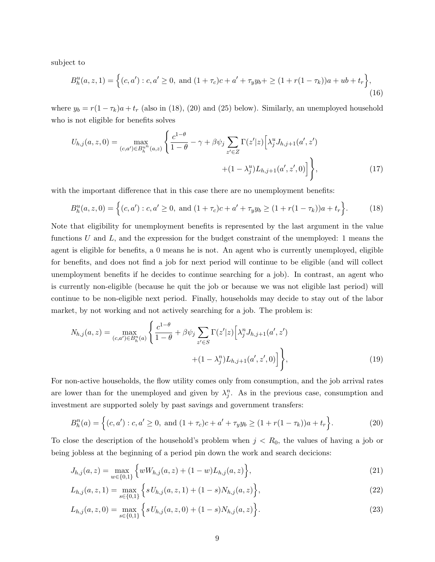subject to

$$
B_h^u(a, z, 1) = \left\{ (c, a') : c, a' \ge 0, \text{ and } (1 + \tau_c)c + a' + \tau_y y_b + \ge (1 + r(1 - \tau_k))a + ub + t_r \right\},\tag{16}
$$

where  $y_b = r(1 - \tau_k)a + t_r$  (also in [\(18\)](#page-10-0), [\(20\)](#page-10-1) and [\(25\)](#page-11-0) below). Similarly, an unemployed household who is not eligible for benefits solves

$$
U_{h,j}(a,z,0) = \max_{(c,a') \in B_h^{u^n}(a,z)} \left\{ \frac{c^{1-\theta}}{1-\theta} - \gamma + \beta \psi_j \sum_{z' \in Z} \Gamma(z'|z) \left[ \lambda_j^u J_{h,j+1}(a',z') \right] + (1-\lambda_j^u) L_{h,j+1}(a',z',0) \right] \right\},\tag{17}
$$

with the important difference that in this case there are no unemployment benefits:

<span id="page-10-0"></span>
$$
B_h^u(a, z, 0) = \left\{ (c, a') : c, a' \ge 0, \text{ and } (1 + \tau_c)c + a' + \tau_y y_b \ge (1 + r(1 - \tau_k))a + t_r \right\}.
$$
 (18)

Note that eligibility for unemployment benefits is represented by the last argument in the value functions  $U$  and  $L$ , and the expression for the budget constraint of the unemployed: 1 means the agent is eligible for benefits, a 0 means he is not. An agent who is currently unemployed, eligible for benefits, and does not find a job for next period will continue to be eligible (and will collect unemployment benefits if he decides to continue searching for a job). In contrast, an agent who is currently non-eligible (because he quit the job or because we was not eligible last period) will continue to be non-eligible next period. Finally, households may decide to stay out of the labor market, by not working and not actively searching for a job. The problem is:

$$
N_{h,j}(a,z) = \max_{(c,a') \in B_h^n(a)} \left\{ \frac{c^{1-\theta}}{1-\theta} + \beta \psi_j \sum_{z' \in S} \Gamma(z'|z) \left[ \lambda_j^n J_{h,j+1}(a',z') \right] + (1-\lambda_j^n) L_{h,j+1}(a',z',0) \right] \right\},\tag{19}
$$

For non-active households, the flow utility comes only from consumption, and the job arrival rates are lower than for the unemployed and given by  $\lambda_j^n$ . As in the previous case, consumption and investment are supported solely by past savings and government transfers:

<span id="page-10-1"></span>
$$
B_h^n(a) = \left\{ (c, a') : c, a' \ge 0, \text{ and } (1 + \tau_c)c + a' + \tau_y y_b \ge (1 + r(1 - \tau_k))a + t_r \right\}.
$$
 (20)

To close the description of the household's problem when  $j < R_0$ , the values of having a job or being jobless at the beginning of a period pin down the work and search decicions:

$$
J_{h,j}(a,z) = \max_{w \in \{0,1\}} \left\{ wW_{h,j}(a,z) + (1-w)L_{h,j}(a,z) \right\},\tag{21}
$$

$$
L_{h,j}(a,z,1) = \max_{s \in \{0,1\}} \left\{ s \, U_{h,j}(a,z,1) + (1-s) N_{h,j}(a,z) \right\},\tag{22}
$$

$$
L_{h,j}(a,z,0) = \max_{s \in \{0,1\}} \left\{ s U_{h,j}(a,z,0) + (1-s) N_{h,j}(a,z) \right\}.
$$
 (23)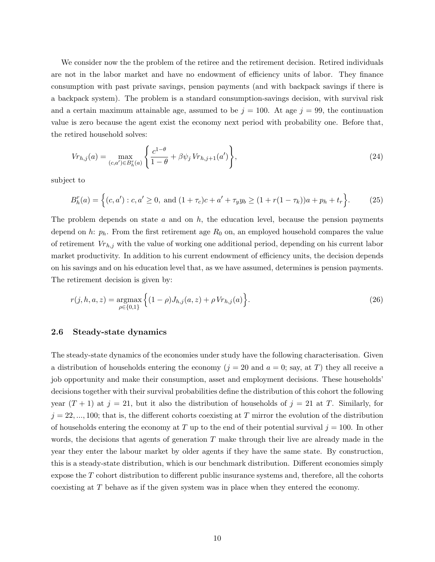We consider now the the problem of the retiree and the retirement decision. Retired individuals are not in the labor market and have no endowment of efficiency units of labor. They finance consumption with past private savings, pension payments (and with backpack savings if there is a backpack system). The problem is a standard consumption-savings decision, with survival risk and a certain maximum attainable age, assumed to be  $j = 100$ . At age  $j = 99$ , the continuation value is zero because the agent exist the economy next period with probability one. Before that, the retired household solves:

$$
V r_{h,j}(a) = \max_{(c,a') \in B_h^r(a)} \left\{ \frac{c^{1-\theta}}{1-\theta} + \beta \psi_j V r_{h,j+1}(a') \right\},\tag{24}
$$

subject to

<span id="page-11-0"></span>
$$
B_h^r(a) = \left\{ (c, a') : c, a' \ge 0, \text{ and } (1 + \tau_c)c + a' + \tau_y y_b \ge (1 + r(1 - \tau_k))a + p_h + t_r \right\}.
$$
 (25)

The problem depends on state  $a$  and on  $h$ , the education level, because the pension payments depend on h:  $p_h$ . From the first retirement age  $R_0$  on, an employed household compares the value of retirement  $V_{h,j}$  with the value of working one additional period, depending on his current labor market productivity. In addition to his current endowment of efficiency units, the decision depends on his savings and on his education level that, as we have assumed, determines is pension payments. The retirement decision is given by:

<span id="page-11-1"></span>
$$
r(j, h, a, z) = \underset{\rho \in \{0, 1\}}{\operatorname{argmax}} \left\{ (1 - \rho) J_{h,j}(a, z) + \rho V r_{h,j}(a) \right\}.
$$
 (26)

### 2.6 Steady-state dynamics

The steady-state dynamics of the economies under study have the following characterisation. Given a distribution of households entering the economy  $(j = 20 \text{ and } a = 0; \text{ say, at } T)$  they all receive a job opportunity and make their consumption, asset and employment decisions. These households' decisions together with their survival probabilities define the distribution of this cohort the following year  $(T + 1)$  at  $j = 21$ , but it also the distribution of households of  $j = 21$  at T. Similarly, for  $j = 22, ..., 100$ ; that is, the different cohorts coexisting at T mirror the evolution of the distribution of households entering the economy at T up to the end of their potential survival  $j = 100$ . In other words, the decisions that agents of generation  $T$  make through their live are already made in the year they enter the labour market by older agents if they have the same state. By construction, this is a steady-state distribution, which is our benchmark distribution. Different economies simply expose the T cohort distribution to different public insurance systems and, therefore, all the cohorts coexisting at T behave as if the given system was in place when they entered the economy.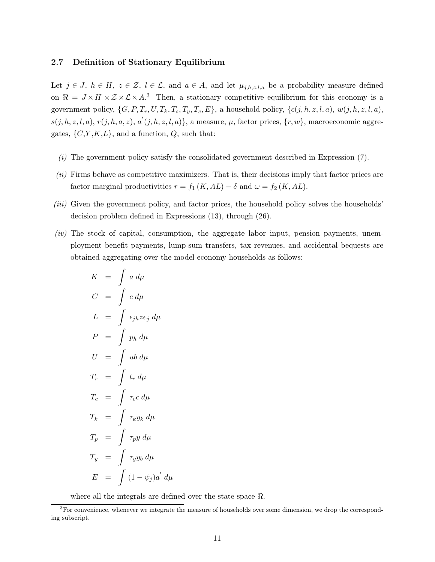# 2.7 Definition of Stationary Equilibrium

Let  $j \in J$ ,  $h \in H$ ,  $z \in \mathcal{Z}$ ,  $l \in \mathcal{L}$ , and  $a \in A$ , and let  $\mu_{j,h,z,l,a}$  be a probability measure defined on  $\Re = J \times H \times Z \times Z \times A^3$  $\Re = J \times H \times Z \times Z \times A^3$  Then, a stationary competitive equilibrium for this economy is a government policy,  $\{G, P, T_r, U, T_k, T_s, T_y, T_c, E\}$ , a household policy,  $\{c(j, h, z, l, a), w(j, h, z, l, a), w(k, l, a), w(k, l, a)\}$  $s(j, h, z, l, a), r(j, h, a, z), a'(j, h, z, l, a)$ , a measure,  $\mu$ , factor prices,  $\{r, w\}$ , macroeconomic aggregates,  $\{C, Y, K, L\}$ , and a function,  $Q$ , such that:

- $(i)$  The government policy satisfy the consolidated government described in Expression  $(7)$ .
- (ii) Firms behave as competitive maximizers. That is, their decisions imply that factor prices are factor marginal productivities  $r = f_1(K, AL) - \delta$  and  $\omega = f_2(K, AL)$ .
- (*iii*) Given the government policy, and factor prices, the household policy solves the households' decision problem defined in Expressions [\(13\)](#page-9-0), through [\(26\)](#page-11-1).
- $(iv)$  The stock of capital, consumption, the aggregate labor input, pension payments, unemployment benefit payments, lump-sum transfers, tax revenues, and accidental bequests are obtained aggregating over the model economy households as follows:

$$
K = \int a d\mu
$$
  
\n
$$
C = \int c d\mu
$$
  
\n
$$
L = \int \epsilon_{jh} z e_j d\mu
$$
  
\n
$$
P = \int p_h d\mu
$$
  
\n
$$
U = \int u b d\mu
$$
  
\n
$$
T_r = \int t_r d\mu
$$
  
\n
$$
T_c = \int \tau_c c d\mu
$$
  
\n
$$
T_k = \int \tau_k y_k d\mu
$$
  
\n
$$
T_p = \int \tau_p y d\mu
$$
  
\n
$$
T_y = \int \tau_y y_b d\mu
$$
  
\n
$$
E = \int (1 - \psi_j)a' d\mu
$$

where all the integrals are defined over the state space  $\Re$ .

<span id="page-12-0"></span><sup>&</sup>lt;sup>3</sup>For convenience, whenever we integrate the measure of households over some dimension, we drop the corresponding subscript.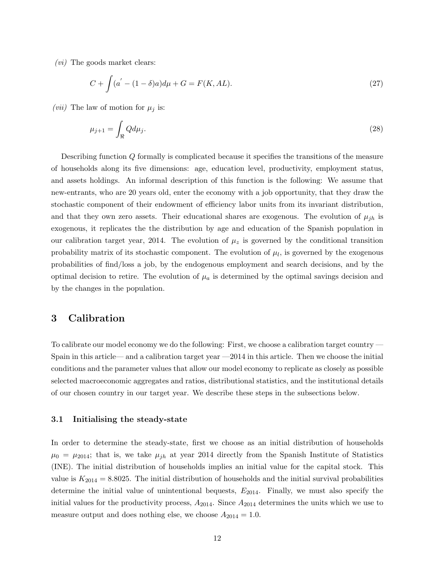$(vi)$  The goods market clears:

$$
C + \int (a' - (1 - \delta)a)d\mu + G = F(K, AL). \tag{27}
$$

(*vii*) The law of motion for  $\mu_j$  is:

$$
\mu_{j+1} = \int_{\Re} Q d\mu_j. \tag{28}
$$

Describing function Q formally is complicated because it specifies the transitions of the measure of households along its five dimensions: age, education level, productivity, employment status, and assets holdings. An informal description of this function is the following: We assume that new-entrants, who are 20 years old, enter the economy with a job opportunity, that they draw the stochastic component of their endowment of efficiency labor units from its invariant distribution, and that they own zero assets. Their educational shares are exogenous. The evolution of  $\mu_{jh}$  is exogenous, it replicates the the distribution by age and education of the Spanish population in our calibration target year, 2014. The evolution of  $\mu_z$  is governed by the conditional transition probability matrix of its stochastic component. The evolution of  $\mu_l$ , is governed by the exogenous probabilities of find/loss a job, by the endogenous employment and search decisions, and by the optimal decision to retire. The evolution of  $\mu_a$  is determined by the optimal savings decision and by the changes in the population.

# <span id="page-13-0"></span>3 Calibration

To calibrate our model economy we do the following: First, we choose a calibration target country — Spain in this article— and a calibration target year  $-2014$  in this article. Then we choose the initial conditions and the parameter values that allow our model economy to replicate as closely as possible selected macroeconomic aggregates and ratios, distributional statistics, and the institutional details of our chosen country in our target year. We describe these steps in the subsections below.

#### 3.1 Initialising the steady-state

In order to determine the steady-state, first we choose as an initial distribution of households  $\mu_0 = \mu_{2014}$ ; that is, we take  $\mu_{jh}$  at year 2014 directly from the Spanish Institute of Statistics (INE). The initial distribution of households implies an initial value for the capital stock. This value is  $K_{2014} = 8.8025$ . The initial distribution of households and the initial survival probabilities determine the initial value of unintentional bequests,  $E_{2014}$ . Finally, we must also specify the initial values for the productivity process,  $A_{2014}$ . Since  $A_{2014}$  determines the units which we use to measure output and does nothing else, we choose  $A_{2014} = 1.0$ .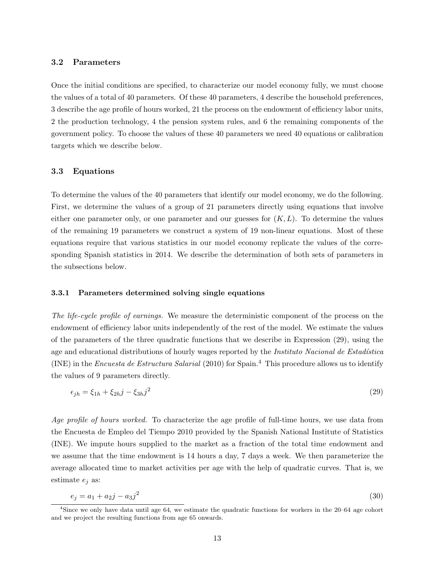# 3.2 Parameters

Once the initial conditions are specified, to characterize our model economy fully, we must choose the values of a total of 40 parameters. Of these 40 parameters, 4 describe the household preferences, 3 describe the age profile of hours worked, 21 the process on the endowment of efficiency labor units, 2 the production technology, 4 the pension system rules, and 6 the remaining components of the government policy. To choose the values of these 40 parameters we need 40 equations or calibration targets which we describe below.

### 3.3 Equations

To determine the values of the 40 parameters that identify our model economy, we do the following. First, we determine the values of a group of 21 parameters directly using equations that involve either one parameter only, or one parameter and our guesses for  $(K, L)$ . To determine the values of the remaining 19 parameters we construct a system of 19 non-linear equations. Most of these equations require that various statistics in our model economy replicate the values of the corresponding Spanish statistics in 2014. We describe the determination of both sets of parameters in the subsections below.

### 3.3.1 Parameters determined solving single equations

The life-cycle profile of earnings. We measure the deterministic component of the process on the endowment of efficiency labor units independently of the rest of the model. We estimate the values of the parameters of the three quadratic functions that we describe in Expression [\(29\)](#page-14-0), using the age and educational distributions of hourly wages reported by the *Instituto Nacional de Estadística* (INE) in the *Encuesta de Estructura Salarial* (2010) for Spain.<sup>[4](#page-14-1)</sup> This procedure allows us to identify the values of 9 parameters directly.

<span id="page-14-0"></span>
$$
\epsilon_{jh} = \xi_{1h} + \xi_{2h}j - \xi_{3h}j^2 \tag{29}
$$

Age profile of hours worked. To characterize the age profile of full-time hours, we use data from the Encuesta de Empleo del Tiempo 2010 provided by the Spanish National Institute of Statistics (INE). We impute hours supplied to the market as a fraction of the total time endowment and we assume that the time endowment is 14 hours a day, 7 days a week. We then parameterize the average allocated time to market activities per age with the help of quadratic curves. That is, we estimate  $e_i$  as:

$$
e_j = a_1 + a_2 j - a_3 j^2 \tag{30}
$$

<span id="page-14-1"></span><sup>4</sup>Since we only have data until age 64, we estimate the quadratic functions for workers in the 20–64 age cohort and we project the resulting functions from age 65 onwards.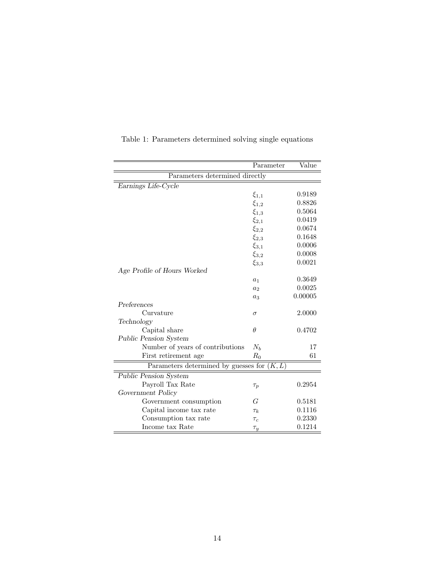|                                               | Parameter      | Value   |
|-----------------------------------------------|----------------|---------|
| Parameters determined directly                |                |         |
| Earnings Life- $\overline{\text{Cycle}}$      |                |         |
|                                               | $\xi_{1,1}$    | 0.9189  |
|                                               | $\xi_{1,2}$    | 0.8826  |
|                                               | $\xi_{1,3}$    | 0.5064  |
|                                               | $\xi_{2,1}$    | 0.0419  |
|                                               | $\xi_{2,2}$    | 0.0674  |
|                                               | $\xi_{2,3}$    | 0.1648  |
|                                               | $\xi_{3,1}$    | 0.0006  |
|                                               | $\xi_{3,2}$    | 0.0008  |
|                                               | $\xi_{3,3}$    | 0.0021  |
| Age Profile of Hours Worked                   |                |         |
|                                               | $a_1$          | 0.3649  |
|                                               | a <sub>2</sub> | 0.0025  |
|                                               | $a_3$          | 0.00005 |
| Preferences                                   |                |         |
| Curvature                                     | $\sigma$       | 2.0000  |
| Technology                                    |                |         |
| Capital share                                 | $\theta$       | 0.4702  |
| <b>Public Pension System</b>                  |                |         |
| Number of years of contributions              | $N_b$          | 17      |
| First retirement age                          | $R_0$          | 61      |
| Parameters determined by guesses for $(K, L)$ |                |         |
| <b>Public Pension System</b>                  |                |         |
| Payroll Tax Rate                              | $\tau_p$       | 0.2954  |
| Government Policy                             |                |         |
| Government consumption                        | G              | 0.5181  |
| Capital income tax rate                       | $\tau_k$       | 0.1116  |
| Consumption tax rate                          | $\tau_c$       | 0.2330  |
| Income tax Rate                               | $\tau_y$       | 0.1214  |

<span id="page-15-0"></span>Table 1: Parameters determined solving single equations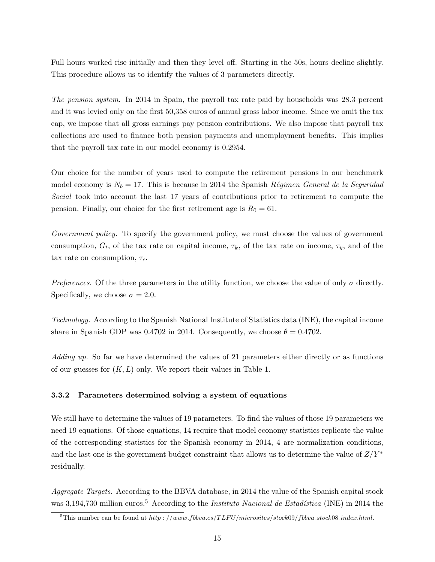Full hours worked rise initially and then they level off. Starting in the 50s, hours decline slightly. This procedure allows us to identify the values of 3 parameters directly.

The pension system. In 2014 in Spain, the payroll tax rate paid by households was 28.3 percent and it was levied only on the first 50,358 euros of annual gross labor income. Since we omit the tax cap, we impose that all gross earnings pay pension contributions. We also impose that payroll tax collections are used to finance both pension payments and unemployment benefits. This implies that the payroll tax rate in our model economy is 0.2954.

Our choice for the number of years used to compute the retirement pensions in our benchmark model economy is  $N_b = 17$ . This is because in 2014 the Spanish Régimen General de la Seguridad Social took into account the last 17 years of contributions prior to retirement to compute the pension. Finally, our choice for the first retirement age is  $R_0 = 61$ .

Government policy. To specify the government policy, we must choose the values of government consumption,  $G_t$ , of the tax rate on capital income,  $\tau_k$ , of the tax rate on income,  $\tau_y$ , and of the tax rate on consumption,  $\tau_c$ .

Preferences. Of the three parameters in the utility function, we choose the value of only  $\sigma$  directly. Specifically, we choose  $\sigma = 2.0$ .

Technology. According to the Spanish National Institute of Statistics data (INE), the capital income share in Spanish GDP was 0.4702 in 2014. Consequently, we choose  $\theta = 0.4702$ .

Adding up. So far we have determined the values of 21 parameters either directly or as functions of our guesses for  $(K, L)$  only. We report their values in Table [1.](#page-15-0)

#### 3.3.2 Parameters determined solving a system of equations

We still have to determine the values of 19 parameters. To find the values of those 19 parameters we need 19 equations. Of those equations, 14 require that model economy statistics replicate the value of the corresponding statistics for the Spanish economy in 2014, 4 are normalization conditions, and the last one is the government budget constraint that allows us to determine the value of  $Z/Y^*$ residually.

Aggregate Targets. According to the BBVA database, in 2014 the value of the Spanish capital stock was 3,194,730 million euros.<sup>[5](#page-16-0)</sup> According to the *Instituto Nacional de Estadística* (INE) in 2014 the

<span id="page-16-0"></span><sup>&</sup>lt;sup>5</sup>This number can be found at  $http://www.fbbva.es/TLFU/microsites/stock09/fbbva_stock08_index.html$ .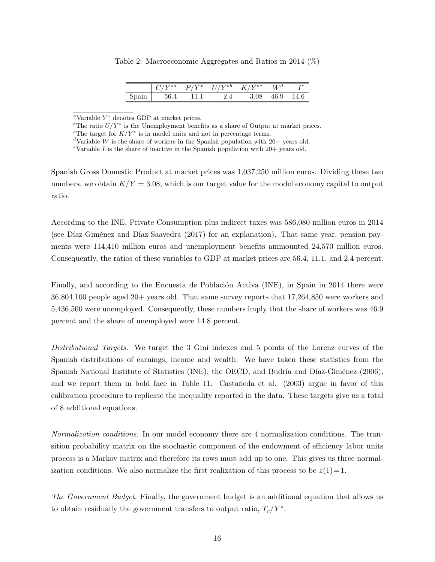|  | Table 2: Macroeconomic Aggregates and Ratios in 2014 $(\%)$ |  |  |  |  |
|--|-------------------------------------------------------------|--|--|--|--|
|--|-------------------------------------------------------------|--|--|--|--|

|       | $\gamma_{V^*a}$ | $P/V^*$ | $I1/Y^{*b}$<br>◡ | $K/V*c$ | $W^d$ |  |
|-------|-----------------|---------|------------------|---------|-------|--|
| Spain |                 |         |                  | 3.08    | 46.9  |  |

 ${}^a$ Variable  $Y^*$  denotes GDP at market prices.

<sup>b</sup>The ratio  $U/Y^*$  is the Unemployment benefits as a share of Output at market prices.

<sup>c</sup>The target for  $K/Y^*$  is in model units and not in percentage terms.

<sup>d</sup>Variable W is the share of workers in the Spanish population with  $20+$  years old.

<sup>e</sup>Variable I is the share of inactive in the Spanish population with  $20+$  years old.

Spanish Gross Domestic Product at market prices was 1,037,250 million euros. Dividing these two numbers, we obtain  $K/Y = 3.08$ , which is our target value for the model economy capital to output ratio.

According to the INE, Private Consumption plus indirect taxes was 586,080 million euros in 2014 (see Díaz-Giménez and Díaz-Saavedra  $(2017)$  for an explanation). That same year, pension payments were 114,410 million euros and unemployment benefits ammounted 24,570 million euros. Consequently, the ratios of these variables to GDP at market prices are 56.4, 11.1, and 2.4 percent.

Finally, and according to the Encuesta de Población Activa (INE), in Spain in 2014 there were 36,804,100 people aged 20+ years old. That same survey reports that 17,264,850 were workers and 5,436,500 were unemployed. Consequently, these numbers imply that the share of workers was 46.9 percent and the share of unemployed were 14.8 percent.

Distributional Targets. We target the 3 Gini indexes and 5 points of the Lorenz curves of the Spanish distributions of earnings, income and wealth. We have taken these statistics from the Spanish National Institute of Statistics (INE), the OECD, and Budría and Díaz-Giménez (2006), and we report them in bold face in Table [11.](#page-24-0) Castañeda et al.  $(2003)$  argue in favor of this calibration procedure to replicate the inequality reported in the data. These targets give us a total of 8 additional equations.

Normalization conditions. In our model economy there are 4 normalization conditions. The transition probability matrix on the stochastic component of the endowment of efficiency labor units process is a Markov matrix and therefore its rows must add up to one. This gives us three normalization conditions. We also normalize the first realization of this process to be  $z(1)=1$ .

The Government Budget. Finally, the government budget is an additional equation that allows us to obtain residually the government transfers to output ratio,  $T_r/Y^*$ .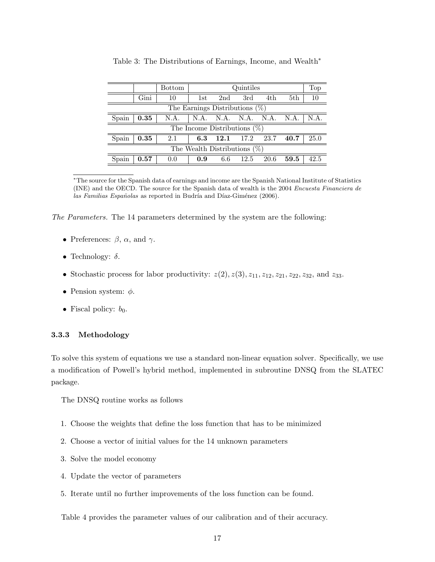|                                   |      | <b>Bottom</b> |                                 |           | Quintiles |      |      | Top  |  |  |
|-----------------------------------|------|---------------|---------------------------------|-----------|-----------|------|------|------|--|--|
|                                   | Gini | 10            | 1st                             | 2nd       | 3rd       | 4th  | 5th  | 10   |  |  |
| The Earnings Distributions $(\%)$ |      |               |                                 |           |           |      |      |      |  |  |
| Spain                             | 0.35 | N.A.          | N.A.                            | N.A. N.A. |           | N.A. | N.A. | N.A. |  |  |
|                                   |      |               | The Income Distributions $(\%)$ |           |           |      |      |      |  |  |
| Spain                             | 0.35 | 2.1           | 6.3                             | 12.1      | 17.2      | 23.7 | 40.7 | 25.0 |  |  |
| The Wealth Distributions $(\%)$   |      |               |                                 |           |           |      |      |      |  |  |
| Spain                             | 0.57 | 0.0           | 0.9                             | 6.6       | 12.5      | 20.6 | 59.5 | 42.5 |  |  |

Table 3: The Distributions of Earnings, Income, and Wealth<sup>∗</sup>

<sup>∗</sup>The source for the Spanish data of earnings and income are the Spanish National Institute of Statistics (INE) and the OECD. The source for the Spanish data of wealth is the 2004 Encuesta Financiera de las Familias Españolas as reported in Budría and Díaz-Giménez (2006).

The Parameters. The 14 parameters determined by the system are the following:

- Preferences:  $\beta$ ,  $\alpha$ , and  $\gamma$ .
- Technology:  $\delta$ .
- Stochastic process for labor productivity:  $z(2)$ ,  $z(3)$ ,  $z_{11}$ ,  $z_{12}$ ,  $z_{21}$ ,  $z_{22}$ ,  $z_{32}$ , and  $z_{33}$ .
- Pension system:  $\phi$ .
- Fiscal policy:  $b_0$ .

#### 3.3.3 Methodology

To solve this system of equations we use a standard non-linear equation solver. Specifically, we use a modification of Powell's hybrid method, implemented in subroutine DNSQ from the SLATEC package.

The DNSQ routine works as follows

- 1. Choose the weights that define the loss function that has to be minimized
- 2. Choose a vector of initial values for the 14 unknown parameters
- 3. Solve the model economy
- 4. Update the vector of parameters
- 5. Iterate until no further improvements of the loss function can be found.

Table [4](#page-19-1) provides the parameter values of our calibration and of their accuracy.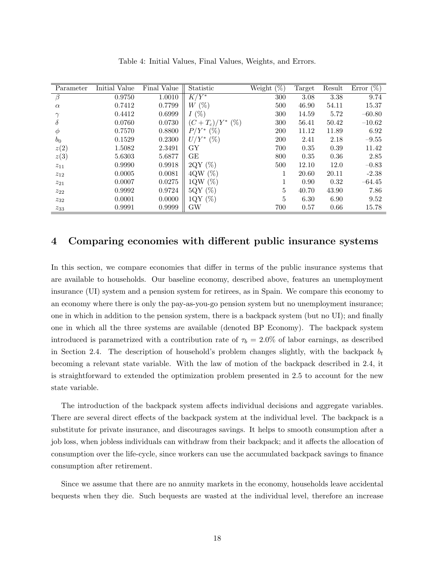<span id="page-19-1"></span>

| Parameter | Initial Value | Final Value | Statistic         | $(\%)$<br>Weight | Target | Result | Error $(\%)$ |
|-----------|---------------|-------------|-------------------|------------------|--------|--------|--------------|
| $\beta$   | 0.9750        | 1.0010      | $K/Y^*$           | 300              | 3.08   | 3.38   | 9.74         |
| $\alpha$  | 0.7412        | 0.7799      | $W(\%)$           | 500              | 46.90  | 54.11  | 15.37        |
|           | 0.4412        | 0.6999      | $I(\%)$           | 300              | 14.59  | 5.72   | $-60.80$     |
| $\delta$  | 0.0760        | 0.0730      | $(C+T_c)/Y^*$ (%) | 300              | 56.41  | 50.42  | $-10.62$     |
| $\phi$    | 0.7570        | 0.8800      | (%<br>$P/Y^*$     | 200              | 11.12  | 11.89  | 6.92         |
| $b_0$     | 0.1529        | 0.2300      | $U/Y^*$ (%)       | 200              | 2.41   | 2.18   | $-9.55$      |
| z(2)      | 1.5082        | 2.3491      | GY                | 700              | 0.35   | 0.39   | 11.42        |
| z(3)      | 5.6303        | 5.6877      | GЕ                | 800              | 0.35   | 0.36   | 2.85         |
| $z_{11}$  | 0.9990        | 0.9918      | 2QY(%)            | 500              | 12.10  | 12.0   | $-0.83$      |
| $z_{12}$  | 0.0005        | 0.0081      | 4QW(%)            |                  | 20.60  | 20.11  | $-2.38$      |
| $z_{21}$  | 0.0007        | 0.0275      | (%)<br>1QW        |                  | 0.90   | 0.32   | $-64.45$     |
| $z_{22}$  | 0.9992        | 0.9724      | $(\%)$<br>5QY     | 5                | 40.70  | 43.90  | 7.86         |
| $z_{32}$  | 0.0001        | 0.0000      | 1QY(%)            | 5                | 6.30   | 6.90   | 9.52         |
| $z_{33}$  | 0.9991        | 0.9999      | <b>GW</b>         | 700              | 0.57   | 0.66   | 15.78        |

Table 4: Initial Values, Final Values, Weights, and Errors.

# <span id="page-19-0"></span>4 Comparing economies with different public insurance systems

In this section, we compare economies that differ in terms of the public insurance systems that are available to households. Our baseline economy, described above, features an unemployment insurance (UI) system and a pension system for retirees, as in Spain. We compare this economy to an economy where there is only the pay-as-you-go pension system but no unemployment insurance; one in which in addition to the pension system, there is a backpack system (but no UI); and finally one in which all the three systems are available (denoted BP Economy). The backpack system introduced is parametrized with a contribution rate of  $\tau_b = 2.0\%$  of labor earnings, as described in Section [2.4.](#page-8-0) The description of household's problem changes slightly, with the backpack  $b_t$ becoming a relevant state variable. With the law of motion of the backpack described in [2.4,](#page-8-0) it is straightforward to extended the optimization problem presented in [2.5](#page-9-1) to account for the new state variable.

The introduction of the backpack system affects individual decisions and aggregate variables. There are several direct effects of the backpack system at the individual level. The backpack is a substitute for private insurance, and discourages savings. It helps to smooth consumption after a job loss, when jobless individuals can withdraw from their backpack; and it affects the allocation of consumption over the life-cycle, since workers can use the accumulated backpack savings to finance consumption after retirement.

Since we assume that there are no annuity markets in the economy, households leave accidental bequests when they die. Such bequests are wasted at the individual level, therefore an increase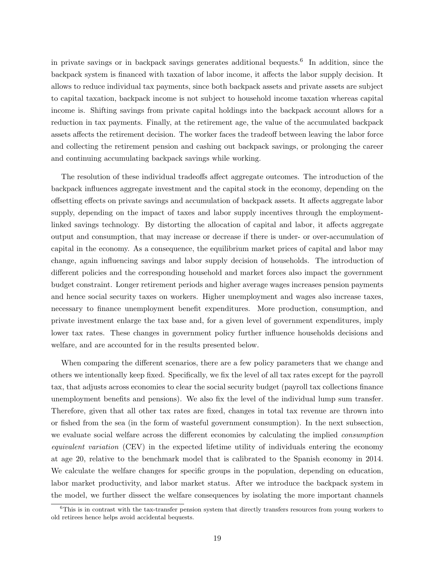in private savings or in backpack savings generates additional bequests.[6](#page-20-0) In addition, since the backpack system is financed with taxation of labor income, it affects the labor supply decision. It allows to reduce individual tax payments, since both backpack assets and private assets are subject to capital taxation, backpack income is not subject to household income taxation whereas capital income is. Shifting savings from private capital holdings into the backpack account allows for a reduction in tax payments. Finally, at the retirement age, the value of the accumulated backpack assets affects the retirement decision. The worker faces the tradeoff between leaving the labor force and collecting the retirement pension and cashing out backpack savings, or prolonging the career and continuing accumulating backpack savings while working.

The resolution of these individual tradeoffs affect aggregate outcomes. The introduction of the backpack influences aggregate investment and the capital stock in the economy, depending on the offsetting effects on private savings and accumulation of backpack assets. It affects aggregate labor supply, depending on the impact of taxes and labor supply incentives through the employmentlinked savings technology. By distorting the allocation of capital and labor, it affects aggregate output and consumption, that may increase or decrease if there is under- or over-accumulation of capital in the economy. As a consequence, the equilibrium market prices of capital and labor may change, again influencing savings and labor supply decision of households. The introduction of different policies and the corresponding household and market forces also impact the government budget constraint. Longer retirement periods and higher average wages increases pension payments and hence social security taxes on workers. Higher unemployment and wages also increase taxes, necessary to finance unemployment benefit expenditures. More production, consumption, and private investment enlarge the tax base and, for a given level of government expenditures, imply lower tax rates. These changes in government policy further influence households decisions and welfare, and are accounted for in the results presented below.

When comparing the different scenarios, there are a few policy parameters that we change and others we intentionally keep fixed. Specifically, we fix the level of all tax rates except for the payroll tax, that adjusts across economies to clear the social security budget (payroll tax collections finance unemployment benefits and pensions). We also fix the level of the individual lump sum transfer. Therefore, given that all other tax rates are fixed, changes in total tax revenue are thrown into or fished from the sea (in the form of wasteful government consumption). In the next subsection, we evaluate social welfare across the different economies by calculating the implied consumption equivalent variation (CEV) in the expected lifetime utility of individuals entering the economy at age 20, relative to the benchmark model that is calibrated to the Spanish economy in 2014. We calculate the welfare changes for specific groups in the population, depending on education, labor market productivity, and labor market status. After we introduce the backpack system in the model, we further dissect the welfare consequences by isolating the more important channels

<span id="page-20-0"></span> $6$ This is in contrast with the tax-transfer pension system that directly transfers resources from young workers to old retirees hence helps avoid accidental bequests.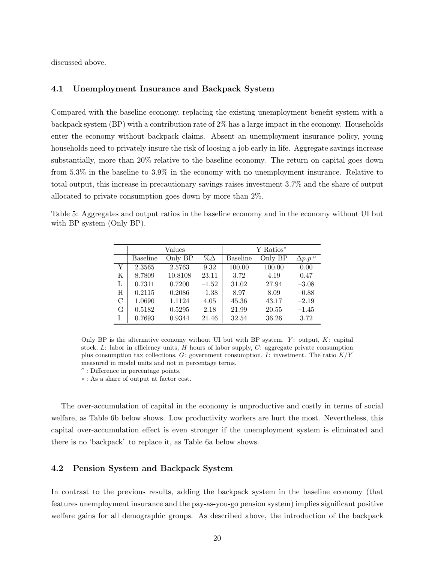discussed above.

# 4.1 Unemployment Insurance and Backpack System

Compared with the baseline economy, replacing the existing unemployment benefit system with a backpack system (BP) with a contribution rate of 2% has a large impact in the economy. Households enter the economy without backpack claims. Absent an unemployment insurance policy, young households need to privately insure the risk of loosing a job early in life. Aggregate savings increase substantially, more than 20% relative to the baseline economy. The return on capital goes down from 5.3% in the baseline to 3.9% in the economy with no unemployment insurance. Relative to total output, this increase in precautionary savings raises investment 3.7% and the share of output allocated to private consumption goes down by more than 2%.

Table 5: Aggregates and output ratios in the baseline economy and in the economy without UI but with BP system (Only BP).

|   |                 | Values  |            | Y Ratios <sup>*</sup> |         |                 |  |
|---|-----------------|---------|------------|-----------------------|---------|-----------------|--|
|   | <b>Baseline</b> | Only BP | $\%\Delta$ | <b>Baseline</b>       | Only BP | $\Delta p.p.^a$ |  |
| Y | 2.3565          | 2.5763  | 9.32       | 100.00                | 100.00  | 0.00            |  |
| K | 8.7809          | 10.8108 | 23.11      | 3.72                  | 4.19    | 0.47            |  |
| L | 0.7311          | 0.7200  | $-1.52$    | 31.02                 | 27.94   | $-3.08$         |  |
| H | 0.2115          | 0.2086  | $-1.38$    | 8.97                  | 8.09    | $-0.88$         |  |
| C | 1.0690          | 1.1124  | 4.05       | 45.36                 | 43.17   | $-2.19$         |  |
| G | 0.5182          | 0.5295  | 2.18       | 21.99                 | 20.55   | $-1.45$         |  |
|   | 0.7693          | 0.9344  | 21.46      | 32.54                 | 36.26   | 3.72            |  |

Only BP is the alternative economy without UI but with BP system.  $Y$ : output,  $K$ : capital stock,  $L$ : labor in efficiency units,  $H$  hours of labor supply,  $C$ : aggregate private consumption plus consumption tax collections,  $G$ : government consumption,  $I$ : investment. The ratio  $K/Y$ measured in model units and not in percentage terms.

<sup>a</sup>: Difference in percentage points.

∗ : As a share of output at factor cost.

The over-accumulation of capital in the economy is unproductive and costly in terms of social welfare, as Table [6b](#page-22-0) below shows. Low productivity workers are hurt the most. Nevertheless, this capital over-accumulation effect is even stronger if the unemployment system is eliminated and there is no 'backpack' to replace it, as Table [6a](#page-22-0) below shows.

# 4.2 Pension System and Backpack System

In contrast to the previous results, adding the backpack system in the baseline economy (that features unemployment insurance and the pay-as-you-go pension system) implies significant positive welfare gains for all demographic groups. As described above, the introduction of the backpack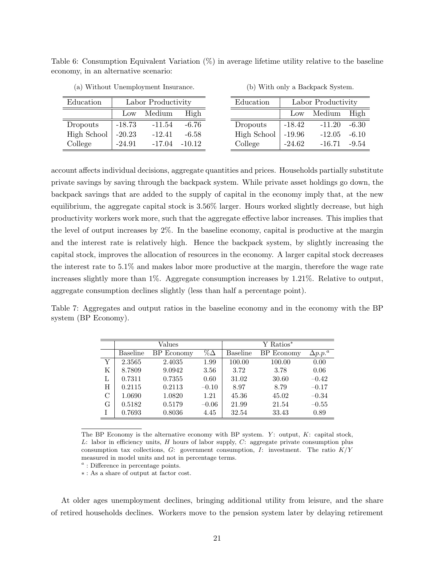<span id="page-22-0"></span>Table 6: Consumption Equivalent Variation (%) in average lifetime utility relative to the baseline economy, in an alternative scenario:

(b) With only a Backpack System.

| Education   | Labor Productivity |          | Education |             | Labor Productivity |          |         |
|-------------|--------------------|----------|-----------|-------------|--------------------|----------|---------|
|             | $_{\text{Low}}$    | Medium   | High      |             | $_{\text{Low}}$    | Medium   | High    |
| Dropouts    | $-18.73$           | $-11.54$ | $-6.76$   | Dropouts    | $-18.42$           | $-11.20$ | $-6.30$ |
| High School | $-20.23$           | $-12.41$ | $-6.58$   | High School | $-19.96$           | $-12.05$ | $-6.10$ |
| College     | $-24.91$           | $-17.04$ | $-10.12$  | College     | $-24.62$           | $-16.71$ | $-9.54$ |

(a) Without Unemployment Insurance.

account affects individual decisions, aggregate quantities and prices. Households partially substitute private savings by saving through the backpack system. While private asset holdings go down, the backpack savings that are added to the supply of capital in the economy imply that, at the new equilibrium, the aggregate capital stock is 3.56% larger. Hours worked slightly decrease, but high productivity workers work more, such that the aggregate effective labor increases. This implies that the level of output increases by 2%. In the baseline economy, capital is productive at the margin and the interest rate is relatively high. Hence the backpack system, by slightly increasing the capital stock, improves the allocation of resources in the economy. A larger capital stock decreases the interest rate to 5.1% and makes labor more productive at the margin, therefore the wage rate increases slightly more than 1%. Aggregate consumption increases by 1.21%. Relative to output, aggregate consumption declines slightly (less than half a percentage point).

Table 7: Aggregates and output ratios in the baseline economy and in the economy with the BP system (BP Economy).

|   |                 | Values            |            | Y Ratios <sup>*</sup> |            |                 |  |
|---|-----------------|-------------------|------------|-----------------------|------------|-----------------|--|
|   | <b>Baseline</b> | <b>BP</b> Economy | $\%\Delta$ | <b>Baseline</b>       | BP Economy | $\Delta p.p.^a$ |  |
| Y | 2.3565          | 2.4035            | 1.99       | 100.00                | 100.00     | 0.00            |  |
| K | 8.7809          | 9.0942            | 3.56       | 3.72                  | 3.78       | 0.06            |  |
| L | 0.7311          | 0.7355            | 0.60       | 31.02                 | 30.60      | $-0.42$         |  |
| Н | 0.2115          | 0.2113            | $-0.10$    | 8.97                  | 8.79       | $-0.17$         |  |
| С | 1.0690          | 1.0820            | 1.21       | 45.36                 | 45.02      | $-0.34$         |  |
| G | 0.5182          | 0.5179            | $-0.06$    | 21.99                 | 21.54      | $-0.55$         |  |
| Ī | 0.7693          | 0.8036            | 4.45       | 32.54                 | 33.43      | 0.89            |  |

The BP Economy is the alternative economy with BP system. Y: output,  $K$ : capital stock, L: labor in efficiency units,  $H$  hours of labor supply,  $C$ : aggregate private consumption plus consumption tax collections,  $G$ : government consumption,  $I$ : investment. The ratio  $K/Y$ measured in model units and not in percentage terms.

At older ages unemployment declines, bringing additional utility from leisure, and the share of retired households declines. Workers move to the pension system later by delaying retirement

<sup>&</sup>lt;sup>a</sup>: Difference in percentage points.

<sup>∗</sup> : As a share of output at factor cost.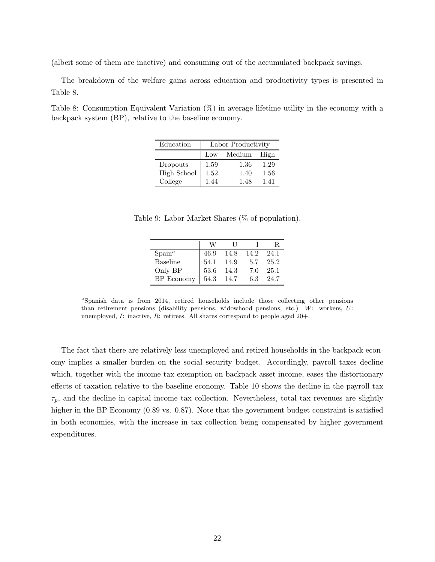(albeit some of them are inactive) and consuming out of the accumulated backpack savings.

The breakdown of the welfare gains across education and productivity types is presented in Table [8.](#page-23-0)

<span id="page-23-0"></span>Table 8: Consumption Equivalent Variation (%) in average lifetime utility in the economy with a backpack system (BP), relative to the baseline economy.

| Education          | Labor Productivity |        |      |  |  |  |  |
|--------------------|--------------------|--------|------|--|--|--|--|
|                    | Low                | Medium | High |  |  |  |  |
| Dropouts           | 1.59               | 1.36   | 1.29 |  |  |  |  |
| <b>High School</b> | 1.52               | 1.40   | 1.56 |  |  |  |  |
| College            | 1.44               | 1.48   | 141  |  |  |  |  |

Table 9: Labor Market Shares (% of population).

|                   | W    |      |      |      |
|-------------------|------|------|------|------|
| Span <sup>a</sup> | 46.9 | 14.8 | 14.2 | 24.1 |
| <b>Baseline</b>   | 54.1 | 14.9 | 5.7  | 25.2 |
| Only BP           | 53.6 | 14.3 | 7.0  | 25.1 |
| <b>BP</b> Economy | 54.3 | 14.7 | 6.3  | 24.7 |

<sup>&</sup>lt;sup>a</sup>Spanish data is from 2014, retired households include those collecting other pensions than retirement pensions (disability pensions, widowhood pensions, etc.) W: workers,  $U$ : unemployed,  $I$ : inactive,  $R$ : retirees. All shares correspond to people aged  $20+$ .

The fact that there are relatively less unemployed and retired households in the backpack economy implies a smaller burden on the social security budget. Accordingly, payroll taxes decline which, together with the income tax exemption on backpack asset income, eases the distortionary effects of taxation relative to the baseline economy. Table [10](#page-24-1) shows the decline in the payroll tax  $\tau_p$ , and the decline in capital income tax collection. Nevertheless, total tax revenues are slightly higher in the BP Economy (0.89 vs. 0.87). Note that the government budget constraint is satisfied in both economies, with the increase in tax collection being compensated by higher government expenditures.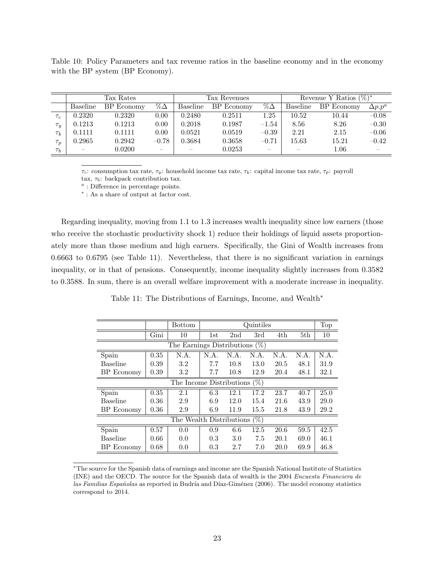<span id="page-24-1"></span>Table 10: Policy Parameters and tax revenue ratios in the baseline economy and in the economy with the BP system (BP Economy).

|            | Tax Rates                |            |                          |          | Tax Revenues |                          | Revenue Y Ratios $(\%)^*$ |            |                          |
|------------|--------------------------|------------|--------------------------|----------|--------------|--------------------------|---------------------------|------------|--------------------------|
|            | <b>Baseline</b>          | BP Economy | $\%\Delta$               | Baseline | BP Economy   | $\%\Delta$               | Baseline                  | BP Economy | $\Delta p.p^a$           |
| $\tau_c$   | 0.2320                   | 0.2320     | 0.00                     | 0.2480   | 0.2511       | 1.25                     | 10.52                     | 10.44      | $-0.08$                  |
| $\tau_u$   | 0.1213                   | 0.1213     | 0.00                     | 0.2018   | 0.1987       | $-1.54\,$                | 8.56                      | 8.26       | $-0.30$                  |
| $\tau_k$   | 0.1111                   | 0.1111     | 0.00                     | 0.0521   | 0.0519       | $-0.39$                  | 2.21                      | 2.15       | $-0.06$                  |
| $\tau_{p}$ | 0.2965                   | 0.2942     | $-0.78$                  | 0.3684   | 0.3658       | $-0.71$                  | 15.63                     | 15.21      | $-0.42$                  |
| $\tau_b$   | $\overline{\phantom{a}}$ | 0.0200     | $\overline{\phantom{a}}$ |          | 0.0253       | $\overline{\phantom{a}}$ | $\overline{\phantom{a}}$  | $1.06\,$   | $\overline{\phantom{a}}$ |

 $\tau_c$ : consumption tax rate,  $\tau_y$ : household income tax rate,  $\tau_k$ : capital income tax rate,  $\tau_p$ : payroll tax,  $\tau_b$ : backpack contribution tax.

<sup>a</sup>: Difference in percentage points.

∗ : As a share of output at factor cost.

Regarding inequality, moving from 1.1 to 1.3 increases wealth inequality since low earners (those who receive the stochastic productivity shock 1) reduce their holdings of liquid assets proportionately more than those medium and high earners. Specifically, the Gini of Wealth increases from 0.6663 to 0.6795 (see Table [11\)](#page-24-0). Nevertheless, that there is no significant variation in earnings inequality, or in that of pensions. Consequently, income inequality slightly increases from 0.3582 to 0.3588. In sum, there is an overall welfare improvement with a moderate increase in inequality.

Table 11: The Distributions of Earnings, Income, and Wealth<sup>∗</sup>

<span id="page-24-0"></span>

|                                       |                                    | <b>Bottom</b>            |      |      | Quintiles |      |      | Top  |  |  |  |
|---------------------------------------|------------------------------------|--------------------------|------|------|-----------|------|------|------|--|--|--|
|                                       |                                    |                          |      |      |           |      |      |      |  |  |  |
|                                       | Gini                               | 10                       | 1st  | 2nd  | 3rd       | 4th  | 5th  | 10   |  |  |  |
| $(\% )$<br>The Earnings Distributions |                                    |                          |      |      |           |      |      |      |  |  |  |
| Spain                                 | 0.35                               | N.A.                     | N.A. | N.A. | $N.A$ .   | N.A. | N.A. | N.A. |  |  |  |
| <b>Baseline</b>                       | 0.39                               | 3.2                      | 7.7  | 10.8 | 13.0      | 20.5 | 48.1 | 31.9 |  |  |  |
| BP Economy                            | 0.39                               | 3.2                      | 7.7  | 10.8 | 12.9      | 20.4 | 48.1 | 32.1 |  |  |  |
|                                       | $(\%)$<br>The Income Distributions |                          |      |      |           |      |      |      |  |  |  |
| Spain                                 | 0.35                               | 2.1                      | 6.3  | 12.1 | 17.2      | 23.7 | 40.7 | 25.0 |  |  |  |
| <b>Baseline</b>                       | 0.36                               | 2.9                      | 6.9  | 12.0 | 15.4      | 21.6 | 43.9 | 29.0 |  |  |  |
| BP Economy                            | 0.36                               | 2.9                      | 6.9  | 11.9 | 15.5      | 21.8 | 43.9 | 29.2 |  |  |  |
|                                       |                                    | The Wealth Distributions |      |      | $(\%)$    |      |      |      |  |  |  |
| Spain                                 | 0.57                               | 0.0                      | 0.9  | 6.6  | 12.5      | 20.6 | 59.5 | 42.5 |  |  |  |
| <b>Baseline</b>                       | 0.66                               | 0.0                      | 0.3  | 3.0  | 7.5       | 20.1 | 69.0 | 46.1 |  |  |  |
| BP Economy                            | 0.68                               | 0.0                      | 0.3  | 2.7  | 7.0       | 20.0 | 69.9 | 46.8 |  |  |  |

<sup>∗</sup>The source for the Spanish data of earnings and income are the Spanish National Institute of Statistics (INE) and the OECD. The source for the Spanish data of wealth is the 2004 Encuesta Financiera de las Familias Españolas as reported in Budría and Díaz-Giménez (2006). The model economy statistics correspond to 2014.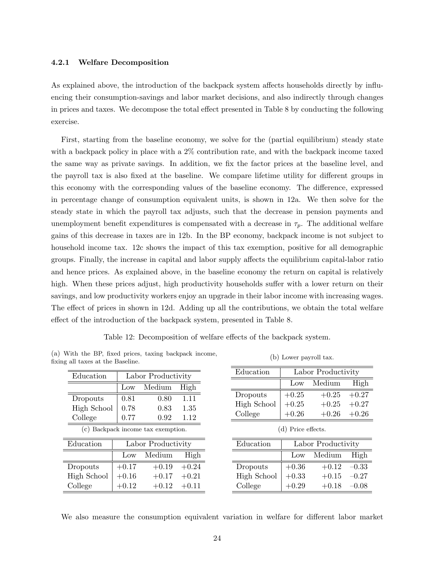#### 4.2.1 Welfare Decomposition

As explained above, the introduction of the backpack system affects households directly by influencing their consumption-savings and labor market decisions, and also indirectly through changes in prices and taxes. We decompose the total effect presented in Table [8](#page-23-0) by conducting the following exercise.

First, starting from the baseline economy, we solve for the (partial equilibrium) steady state with a backpack policy in place with a 2% contribution rate, and with the backpack income taxed the same way as private savings. In addition, we fix the factor prices at the baseline level, and the payroll tax is also fixed at the baseline. We compare lifetime utility for different groups in this economy with the corresponding values of the baseline economy. The difference, expressed in percentage change of consumption equivalent units, is shown in [12a.](#page-25-0) We then solve for the steady state in which the payroll tax adjusts, such that the decrease in pension payments and unemployment benefit expenditures is compensated with a decrease in  $\tau_p$ . The additional welfare gains of this decrease in taxes are in [12b.](#page-25-0) In the BP economy, backpack income is not subject to household income tax. [12c](#page-25-0) shows the impact of this tax exemption, positive for all demographic groups. Finally, the increase in capital and labor supply affects the equilibrium capital-labor ratio and hence prices. As explained above, in the baseline economy the return on capital is relatively high. When these prices adjust, high productivity households suffer with a lower return on their savings, and low productivity workers enjoy an upgrade in their labor income with increasing wages. The effect of prices in shown in [12d.](#page-25-0) Adding up all the contributions, we obtain the total welfare effect of the introduction of the backpack system, presented in Table [8.](#page-23-0)

Table 12: Decomposition of welfare effects of the backpack system.

<span id="page-25-0"></span>(a) With the BP, fixed prices, taxing backpack income, fixing all taxes at the Baseline.

| Education                          |                 | Labor Productivity |         |  |  |  |  |
|------------------------------------|-----------------|--------------------|---------|--|--|--|--|
|                                    | $_{\text{LOW}}$ | Medium             | High    |  |  |  |  |
| Dropouts                           | 0.81            | 0.80               | 1.11    |  |  |  |  |
| <b>High School</b>                 | 0.78            | 0.83               | 1.35    |  |  |  |  |
| College                            | 0.77            | 0.92<br>1.12       |         |  |  |  |  |
| (c) Backpack income tax exemption. |                 |                    |         |  |  |  |  |
| Education                          |                 | Labor Productivity |         |  |  |  |  |
|                                    | Low             | Medium             | High    |  |  |  |  |
| Dropouts                           | $+0.17$         | $+0.19$            | $+0.24$ |  |  |  |  |
| High School                        | $+0.16$         | $+0.17$            | $+0.21$ |  |  |  |  |
| College                            | $+0.12$         | $+0.12$            | $+0.11$ |  |  |  |  |

(b) Lower payroll tax.

| Education          | Labor Productivity    |         |         |  |  |  |  |
|--------------------|-----------------------|---------|---------|--|--|--|--|
|                    | Medium<br>Low<br>High |         |         |  |  |  |  |
| Dropouts           | $+0.25$               | $+0.25$ | $+0.27$ |  |  |  |  |
| <b>High School</b> | $+0.25$               | $+0.25$ | $+0.27$ |  |  |  |  |
| College            | $+0.26$               | $+0.26$ | $+0.26$ |  |  |  |  |

#### (d) Price effects.

| Education          | Labor Productivity |                |         |  |  |  |
|--------------------|--------------------|----------------|---------|--|--|--|
|                    |                    | Low Medium     | High    |  |  |  |
| Dropouts           | $+0.36$            | $+0.12$        | $-0.33$ |  |  |  |
| <b>High School</b> | $+0.33$            | $+0.15$        | $-0.27$ |  |  |  |
| College            | $+0.29$            | $+0.18 - 0.08$ |         |  |  |  |

We also measure the consumption equivalent variation in welfare for different labor market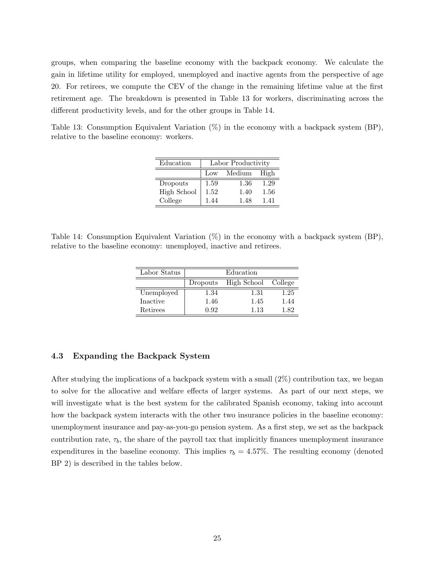groups, when comparing the baseline economy with the backpack economy. We calculate the gain in lifetime utility for employed, unemployed and inactive agents from the perspective of age 20. For retirees, we compute the CEV of the change in the remaining lifetime value at the first retirement age. The breakdown is presented in Table [13](#page-26-0) for workers, discriminating across the different productivity levels, and for the other groups in Table [14.](#page-26-1)

<span id="page-26-0"></span>Table 13: Consumption Equivalent Variation (%) in the economy with a backpack system (BP), relative to the baseline economy: workers.

| Education   | Labor Productivity    |      |      |  |  |  |  |
|-------------|-----------------------|------|------|--|--|--|--|
|             | Medium<br>High<br>Low |      |      |  |  |  |  |
| Dropouts    | 1.59                  | 1.36 | 1.29 |  |  |  |  |
| High School | 1.52                  | 1.40 | 1.56 |  |  |  |  |
| College     | 1.44                  | 1.48 | 141  |  |  |  |  |

<span id="page-26-1"></span>Table 14: Consumption Equivalent Variation (%) in the economy with a backpack system (BP), relative to the baseline economy: unemployed, inactive and retirees.

| Labor Status | Education |                     |      |  |  |  |
|--------------|-----------|---------------------|------|--|--|--|
|              | Dropouts  | High School College |      |  |  |  |
| Unemployed   | 1.34      | 1.31                | 1.25 |  |  |  |
| Inactive     | 1.46      | 1.45                | 1.44 |  |  |  |
| Retirees     | 0.92      | 1.13                | 182  |  |  |  |

# 4.3 Expanding the Backpack System

After studying the implications of a backpack system with a small (2%) contribution tax, we began to solve for the allocative and welfare effects of larger systems. As part of our next steps, we will investigate what is the best system for the calibrated Spanish economy, taking into account how the backpack system interacts with the other two insurance policies in the baseline economy: unemployment insurance and pay-as-you-go pension system. As a first step, we set as the backpack contribution rate,  $\tau_b$ , the share of the payroll tax that implicitly finances unemployment insurance expenditures in the baseline economy. This implies  $\tau_b = 4.57\%$ . The resulting economy (denoted BP 2) is described in the tables below.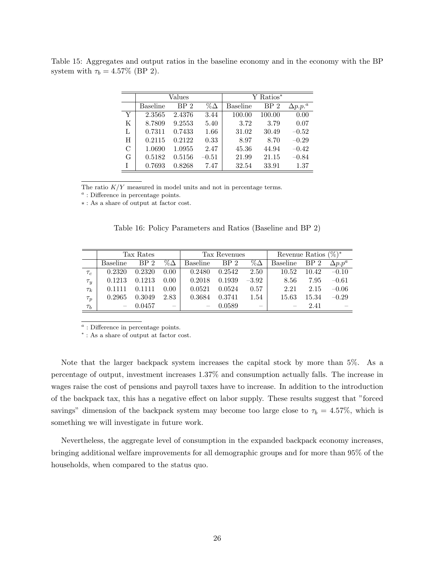Table 15: Aggregates and output ratios in the baseline economy and in the economy with the BP system with  $\tau_b = 4.57\%$  (BP 2).

|               | Values   |                 |            | Y Ratios* |                 |                 |
|---------------|----------|-----------------|------------|-----------|-----------------|-----------------|
|               | Baseline | BP <sub>2</sub> | $\%\Delta$ | Baseline  | BP <sub>2</sub> | $\Delta p.p.^a$ |
| Y             | 2.3565   | 2.4376          | 3.44       | 100.00    | 100.00          | 0.00            |
| K             | 8.7809   | 9.2553          | 5.40       | 3.72      | 3.79            | 0.07            |
| L             | 0.7311   | 0.7433          | 1.66       | 31.02     | 30.49           | $-0.52$         |
| H             | 0.2115   | 0.2122          | 0.33       | 8.97      | 8.70            | $-0.29$         |
| $\mathcal{C}$ | 1.0690   | 1.0955          | 2.47       | 45.36     | 44.94           | $-0.42$         |
| G             | 0.5182   | 0.5156          | $-0.51$    | 21.99     | 21.15           | $-0.84$         |
| T             | 0.7693   | 0.8268          | 7.47       | 32.54     | 33.91           | 1.37            |

The ratio  $K/Y$  measured in model units and not in percentage terms.

<sup>a</sup>: Difference in percentage points.

∗ : As a share of output at factor cost.

Table 16: Policy Parameters and Ratios (Baseline and BP 2)

|          |                 | Tax Rates       |                          | Tax Revenues |        |                          | $(\%)^*$<br>Revenue Ratios |                 |                |
|----------|-----------------|-----------------|--------------------------|--------------|--------|--------------------------|----------------------------|-----------------|----------------|
|          | <b>Baseline</b> | BP <sub>2</sub> | $\%\Delta$               | Baseline     | BP 2   | $\%\Delta$               | <b>Baseline</b>            | BP <sub>2</sub> | $\Delta p.p^a$ |
| $\tau_c$ | 0.2320          | 0.2320          | 0.00                     | 0.2480       | 0.2542 | 2.50                     | 10.52                      | 10.42           | $-0.10$        |
| $\tau_y$ | 0.1213          | 0.1213          | 0.00                     | 0.2018       | 0.1939 | $-3.92$                  | 8.56                       | 7.95            | $-0.61$        |
| $\tau_k$ |                 | 0.1111          | 0.00                     | 0.0521       | 0.0524 | 0.57                     | 2.21                       | 2.15            | $-0.06$        |
| $\tau_p$ | 0.2965          | 0.3049          | 2.83                     | 0.3684       | 0.3741 | 1.54                     | 15.63                      | 15.34           | $-0.29$        |
| $\tau_b$ |                 | 0.0457          | $\overline{\phantom{a}}$ |              | 0.0589 | $\overline{\phantom{a}}$ |                            | 2.41            |                |

<sup>a</sup>: Difference in percentage points.

∗ : As a share of output at factor cost.

Note that the larger backpack system increases the capital stock by more than 5%. As a percentage of output, investment increases 1.37% and consumption actually falls. The increase in wages raise the cost of pensions and payroll taxes have to increase. In addition to the introduction of the backpack tax, this has a negative effect on labor supply. These results suggest that "forced savings" dimension of the backpack system may become too large close to  $\tau_b = 4.57\%$ , which is something we will investigate in future work.

Nevertheless, the aggregate level of consumption in the expanded backpack economy increases, bringing additional welfare improvements for all demographic groups and for more than 95% of the households, when compared to the status quo.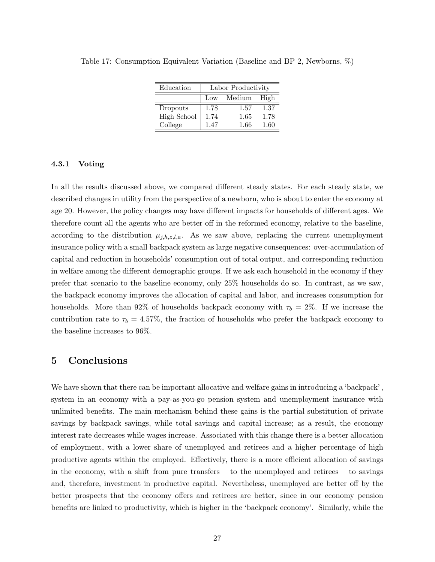| Education          | Labor Productivity    |      |      |  |  |  |  |
|--------------------|-----------------------|------|------|--|--|--|--|
|                    | Medium<br>High<br>Low |      |      |  |  |  |  |
| Dropouts           | 1.78                  | 1.57 | 1.37 |  |  |  |  |
| <b>High School</b> | 1.74                  | 1.65 | 1.78 |  |  |  |  |
| College            | 1.47                  | 1.66 | 1.60 |  |  |  |  |

Table 17: Consumption Equivalent Variation (Baseline and BP 2, Newborns, %)

#### 4.3.1 Voting

In all the results discussed above, we compared different steady states. For each steady state, we described changes in utility from the perspective of a newborn, who is about to enter the economy at age 20. However, the policy changes may have different impacts for households of different ages. We therefore count all the agents who are better off in the reformed economy, relative to the baseline, according to the distribution  $\mu_{j,h,z,l,a}$ . As we saw above, replacing the current unemployment insurance policy with a small backpack system as large negative consequences: over-accumulation of capital and reduction in households' consumption out of total output, and corresponding reduction in welfare among the different demographic groups. If we ask each household in the economy if they prefer that scenario to the baseline economy, only 25% households do so. In contrast, as we saw, the backpack economy improves the allocation of capital and labor, and increases consumption for households. More than 92% of households backpack economy with  $\tau_b = 2\%$ . If we increase the contribution rate to  $\tau_b = 4.57\%$ , the fraction of households who prefer the backpack economy to the baseline increases to 96%.

# 5 Conclusions

We have shown that there can be important allocative and welfare gains in introducing a 'backpack' , system in an economy with a pay-as-you-go pension system and unemployment insurance with unlimited benefits. The main mechanism behind these gains is the partial substitution of private savings by backpack savings, while total savings and capital increase; as a result, the economy interest rate decreases while wages increase. Associated with this change there is a better allocation of employment, with a lower share of unemployed and retirees and a higher percentage of high productive agents within the employed. Effectively, there is a more efficient allocation of savings in the economy, with a shift from pure transfers – to the unemployed and retirees – to savings and, therefore, investment in productive capital. Nevertheless, unemployed are better off by the better prospects that the economy offers and retirees are better, since in our economy pension benefits are linked to productivity, which is higher in the 'backpack economy'. Similarly, while the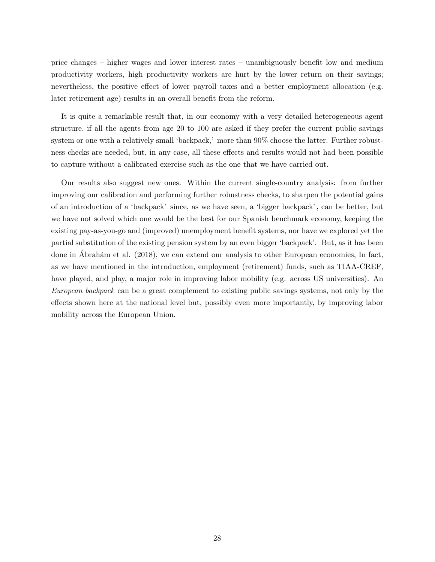price changes – higher wages and lower interest rates – unambiguously benefit low and medium productivity workers, high productivity workers are hurt by the lower return on their savings; nevertheless, the positive effect of lower payroll taxes and a better employment allocation (e.g. later retirement age) results in an overall benefit from the reform.

It is quite a remarkable result that, in our economy with a very detailed heterogeneous agent structure, if all the agents from age 20 to 100 are asked if they prefer the current public savings system or one with a relatively small 'backpack,' more than 90% choose the latter. Further robustness checks are needed, but, in any case, all these effects and results would not had been possible to capture without a calibrated exercise such as the one that we have carried out.

Our results also suggest new ones. Within the current single-country analysis: from further improving our calibration and performing further robustness checks, to sharpen the potential gains of an introduction of a 'backpack' since, as we have seen, a 'bigger backpack' , can be better, but we have not solved which one would be the best for our Spanish benchmark economy, keeping the existing pay-as-you-go and (improved) unemployment benefit systems, nor have we explored yet the partial substitution of the existing pension system by an even bigger 'backpack'. But, as it has been done in Abrahám et al. (2018), we can extend our analysis to other European economies, In fact, as we have mentioned in the introduction, employment (retirement) funds, such as TIAA-CREF, have played, and play, a major role in improving labor mobility (e.g. across US universities). An European backpack can be a great complement to existing public savings systems, not only by the effects shown here at the national level but, possibly even more importantly, by improving labor mobility across the European Union.